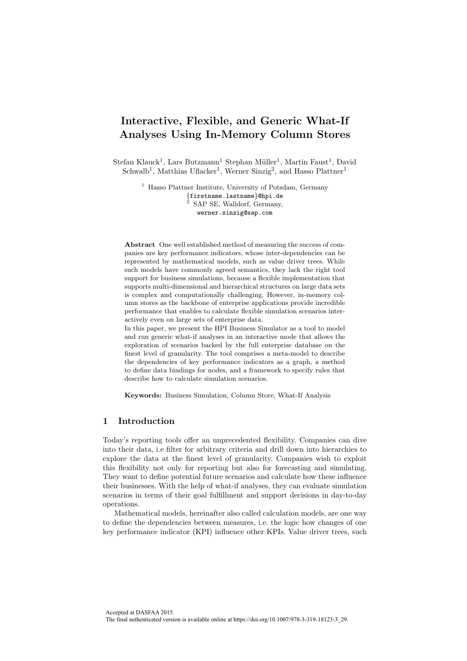# Interactive, Flexible, and Generic What-If Analyses Using In-Memory Column Stores

Stefan Klauck<sup>1</sup>, Lars Butzmann<sup>1</sup> Stephan Müller<sup>1</sup>, Martin Faust<sup>1</sup>, David Schwalb<sup>1</sup>, Matthias Uflacker<sup>1</sup>, Werner Sinzig<sup>2</sup>, and Hasso Plattner<sup>1</sup>

> <sup>1</sup> Hasso Plattner Institute, University of Potsdam, Germany *{*firstname.lastname*}*@hpi.de <sup>2</sup> SAP SE, Walldorf, Germany, werner.sinzig@sap.com

Abstract One well established method of measuring the success of companies are key performance indicators, whose inter-dependencies can be represented by mathematical models, such as value driver trees. While such models have commonly agreed semantics, they lack the right tool support for business simulations, because a flexible implementation that supports multi-dimensional and hierarchical structures on large data sets is complex and computationally challenging. However, in-memory column stores as the backbone of enterprise applications provide incredible performance that enables to calculate flexible simulation scenarios interactively even on large sets of enterprise data.

In this paper, we present the HPI Business Simulator as a tool to model and run generic what-if analyses in an interactive mode that allows the exploration of scenarios backed by the full enterprise database on the finest level of granularity. The tool comprises a meta-model to describe the dependencies of key performance indicators as a graph, a method to define data bindings for nodes, and a framework to specify rules that describe how to calculate simulation scenarios.

Keywords: Business Simulation, Column Store, What-If Analysis

# 1 Introduction

Today's reporting tools offer an unprecedented flexibility. Companies can dive into their data, i.e filter for arbitrary criteria and drill down into hierarchies to explore the data at the finest level of granularity. Companies wish to exploit this flexibility not only for reporting but also for forecasting and simulating. They want to define potential future scenarios and calculate how these influence their businesses. With the help of what-if analyses, they can evaluate simulation scenarios in terms of their goal fulfillment and support decisions in day-to-day operations.

Mathematical models, hereinafter also called calculation models, are one way to define the dependencies between measures, i.e. the logic how changes of one key performance indicator (KPI) influence other KPIs. Value driver trees, such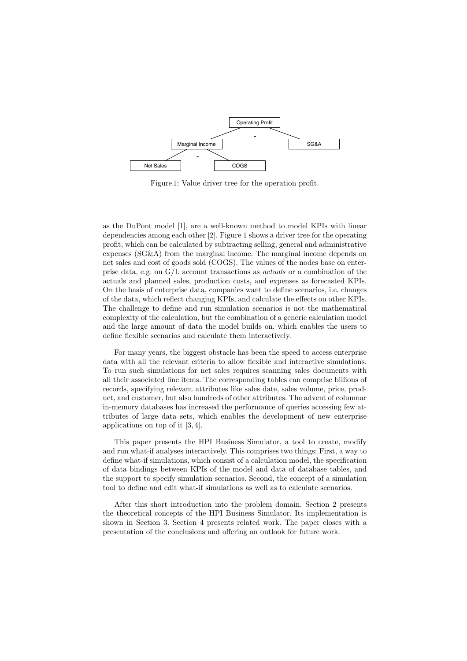

Figure 1: Value driver tree for the operation profit.

as the DuPont model [1], are a well-known method to model KPIs with linear dependencies among each other [2]. Figure 1 shows a driver tree for the operating profit, which can be calculated by subtracting selling, general and administrative expenses (SG&A) from the marginal income. The marginal income depends on net sales and cost of goods sold (COGS). The values of the nodes base on enterprise data, e.g. on G/L account transactions as *actuals* or a combination of the actuals and planned sales, production costs, and expenses as forecasted KPIs. On the basis of enterprise data, companies want to define scenarios, i.e. changes of the data, which reflect changing KPIs, and calculate the effects on other KPIs. The challenge to define and run simulation scenarios is not the mathematical complexity of the calculation, but the combination of a generic calculation model and the large amount of data the model builds on, which enables the users to define flexible scenarios and calculate them interactively.

For many years, the biggest obstacle has been the speed to access enterprise data with all the relevant criteria to allow flexible and interactive simulations. To run such simulations for net sales requires scanning sales documents with all their associated line items. The corresponding tables can comprise billions of records, specifying relevant attributes like sales date, sales volume, price, product, and customer, but also hundreds of other attributes. The advent of columnar in-memory databases has increased the performance of queries accessing few attributes of large data sets, which enables the development of new enterprise applications on top of it [3, 4].

This paper presents the HPI Business Simulator, a tool to create, modify and run what-if analyses interactively. This comprises two things: First, a way to define what-if simulations, which consist of a calculation model, the specification of data bindings between KPIs of the model and data of database tables, and the support to specify simulation scenarios. Second, the concept of a simulation tool to define and edit what-if simulations as well as to calculate scenarios.

After this short introduction into the problem domain, Section 2 presents the theoretical concepts of the HPI Business Simulator. Its implementation is shown in Section 3. Section 4 presents related work. The paper closes with a presentation of the conclusions and offering an outlook for future work.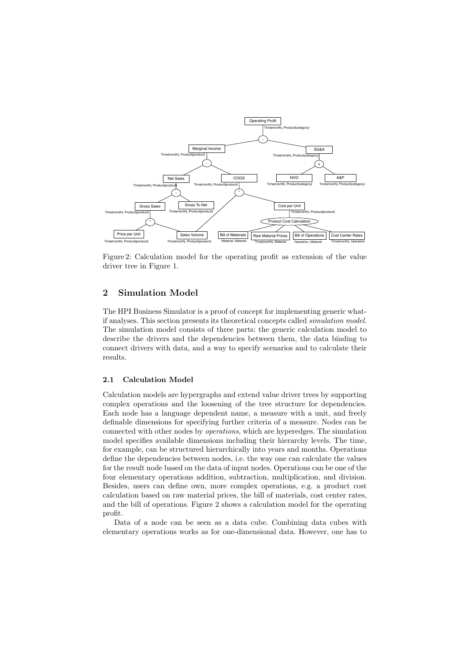

Figure 2: Calculation model for the operating profit as extension of the value driver tree in Figure 1.

# 2 Simulation Model

The HPI Business Simulator is a proof of concept for implementing generic whatif analyses. This section presents its theoretical concepts called *simulation model*. The simulation model consists of three parts: the generic calculation model to describe the drivers and the dependencies between them, the data binding to connect drivers with data, and a way to specify scenarios and to calculate their results.

#### 2.1 Calculation Model

Calculation models are hypergraphs and extend value driver trees by supporting complex operations and the loosening of the tree structure for dependencies. Each node has a language dependent name, a measure with a unit, and freely definable dimensions for specifying further criteria of a measure. Nodes can be connected with other nodes by *operations*, which are hyperedges. The simulation model specifies available dimensions including their hierarchy levels. The time, for example, can be structured hierarchically into years and months. Operations define the dependencies between nodes, i.e. the way one can calculate the values for the result node based on the data of input nodes. Operations can be one of the four elementary operations addition, subtraction, multiplication, and division. Besides, users can define own, more complex operations, e.g. a product cost calculation based on raw material prices, the bill of materials, cost center rates, and the bill of operations. Figure 2 shows a calculation model for the operating profit.

Data of a node can be seen as a data cube. Combining data cubes with elementary operations works as for one-dimensional data. However, one has to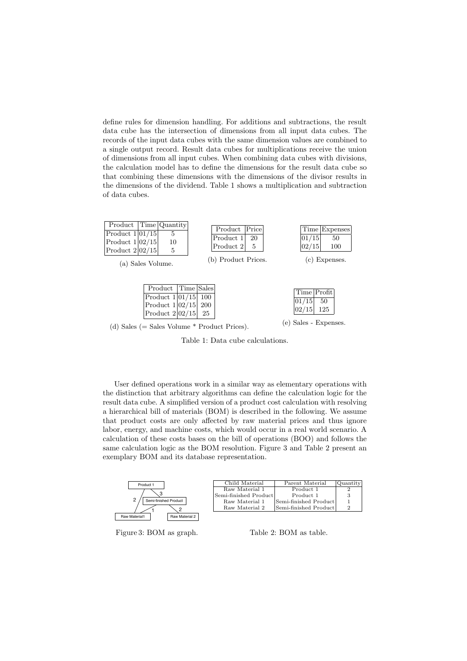define rules for dimension handling. For additions and subtractions, the result data cube has the intersection of dimensions from all input data cubes. The records of the input data cubes with the same dimension values are combined to a single output record. Result data cubes for multiplications receive the union of dimensions from all input cubes. When combining data cubes with divisions, the calculation model has to define the dimensions for the result data cube so that combining these dimensions with the dimensions of the divisor results in the dimensions of the dividend. Table 1 shows a multiplication and subtraction of data cubes.



Table 1: Data cube calculations.

User defined operations work in a similar way as elementary operations with the distinction that arbitrary algorithms can define the calculation logic for the result data cube. A simplified version of a product cost calculation with resolving a hierarchical bill of materials (BOM) is described in the following. We assume that product costs are only affected by raw material prices and thus ignore labor, energy, and machine costs, which would occur in a real world scenario. A calculation of these costs bases on the bill of operations (BOO) and follows the same calculation logic as the BOM resolution. Figure 3 and Table 2 present an exemplary BOM and its database representation.



Figure 3: BOM as graph.

Table 2: BOM as table.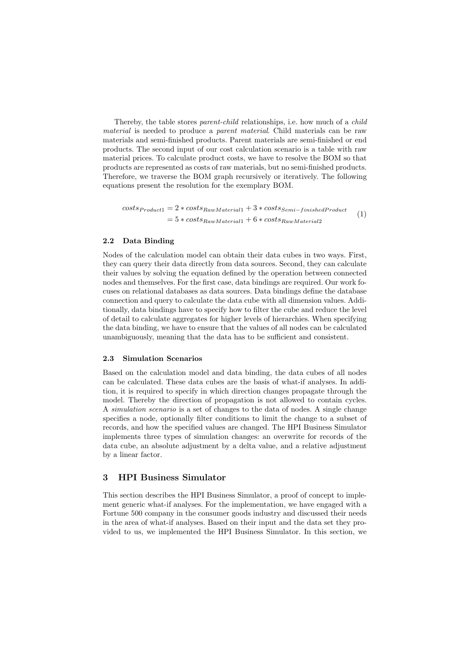Thereby, the table stores *parent-child* relationships, i.e. how much of a *child material* is needed to produce a *parent material*. Child materials can be raw materials and semi-finished products. Parent materials are semi-finished or end products. The second input of our cost calculation scenario is a table with raw material prices. To calculate product costs, we have to resolve the BOM so that products are represented as costs of raw materials, but no semi-finished products. Therefore, we traverse the BOM graph recursively or iteratively. The following equations present the resolution for the exemplary BOM.

$$
costs_{Product1} = 2 * costs_{RawMaterial1} + 3 * costs_{Semi-finishedProduct}
$$
  
= 5 \* costs\_{RawMaterial1} + 6 \* costs\_{RawMaterial2} (1)

#### 2.2 Data Binding

Nodes of the calculation model can obtain their data cubes in two ways. First, they can query their data directly from data sources. Second, they can calculate their values by solving the equation defined by the operation between connected nodes and themselves. For the first case, data bindings are required. Our work focuses on relational databases as data sources. Data bindings define the database connection and query to calculate the data cube with all dimension values. Additionally, data bindings have to specify how to filter the cube and reduce the level of detail to calculate aggregates for higher levels of hierarchies. When specifying the data binding, we have to ensure that the values of all nodes can be calculated unambiguously, meaning that the data has to be sufficient and consistent.

#### 2.3 Simulation Scenarios

Based on the calculation model and data binding, the data cubes of all nodes can be calculated. These data cubes are the basis of what-if analyses. In addition, it is required to specify in which direction changes propagate through the model. Thereby the direction of propagation is not allowed to contain cycles. A *simulation scenario* is a set of changes to the data of nodes. A single change specifies a node, optionally filter conditions to limit the change to a subset of records, and how the specified values are changed. The HPI Business Simulator implements three types of simulation changes: an overwrite for records of the data cube, an absolute adjustment by a delta value, and a relative adjustment by a linear factor.

### 3 HPI Business Simulator

This section describes the HPI Business Simulator, a proof of concept to implement generic what-if analyses. For the implementation, we have engaged with a Fortune 500 company in the consumer goods industry and discussed their needs in the area of what-if analyses. Based on their input and the data set they provided to us, we implemented the HPI Business Simulator. In this section, we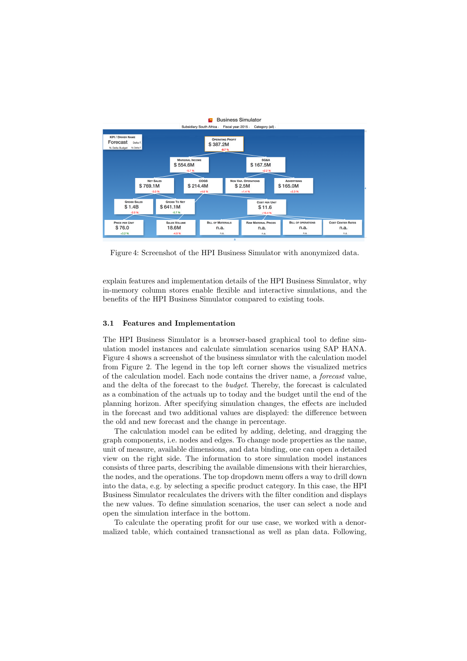

Figure 4: Screenshot of the HPI Business Simulator with anonymized data.

explain features and implementation details of the HPI Business Simulator, why in-memory column stores enable flexible and interactive simulations, and the benefits of the HPI Business Simulator compared to existing tools.

#### 3.1 Features and Implementation

The HPI Business Simulator is a browser-based graphical tool to define simulation model instances and calculate simulation scenarios using SAP HANA. Figure 4 shows a screenshot of the business simulator with the calculation model from Figure 2. The legend in the top left corner shows the visualized metrics of the calculation model. Each node contains the driver name, a *forecast* value, and the delta of the forecast to the *budget*. Thereby, the forecast is calculated as a combination of the actuals up to today and the budget until the end of the planning horizon. After specifying simulation changes, the effects are included in the forecast and two additional values are displayed: the difference between the old and new forecast and the change in percentage.

The calculation model can be edited by adding, deleting, and dragging the graph components, i.e. nodes and edges. To change node properties as the name, unit of measure, available dimensions, and data binding, one can open a detailed view on the right side. The information to store simulation model instances consists of three parts, describing the available dimensions with their hierarchies, the nodes, and the operations. The top dropdown menu offers a way to drill down into the data, e.g. by selecting a specific product category. In this case, the HPI Business Simulator recalculates the drivers with the filter condition and displays the new values. To define simulation scenarios, the user can select a node and open the simulation interface in the bottom.

To calculate the operating profit for our use case, we worked with a denormalized table, which contained transactional as well as plan data. Following,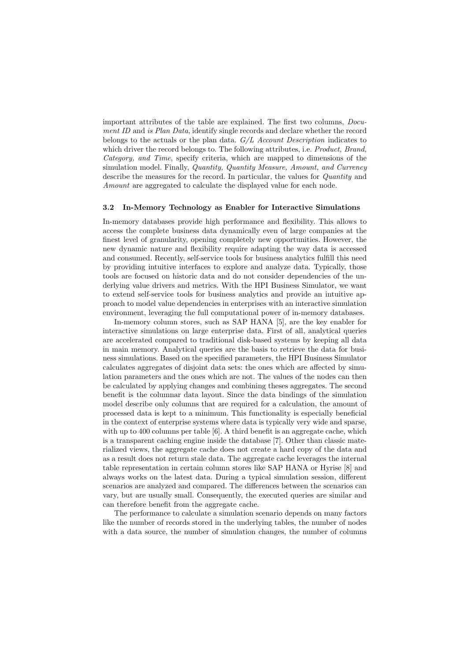important attributes of the table are explained. The first two columns, *Document ID* and *is Plan Data*, identify single records and declare whether the record belongs to the actuals or the plan data. *G/L Account Description* indicates to which driver the record belongs to. The following attributes, i.e. *Product, Brand, Category, and Time*, specify criteria, which are mapped to dimensions of the simulation model. Finally, *Quantity, Quantity Measure, Amount, and Currency* describe the measures for the record. In particular, the values for *Quantity* and *Amount* are aggregated to calculate the displayed value for each node.

#### 3.2 In-Memory Technology as Enabler for Interactive Simulations

In-memory databases provide high performance and flexibility. This allows to access the complete business data dynamically even of large companies at the finest level of granularity, opening completely new opportunities. However, the new dynamic nature and flexibility require adapting the way data is accessed and consumed. Recently, self-service tools for business analytics fulfill this need by providing intuitive interfaces to explore and analyze data. Typically, those tools are focused on historic data and do not consider dependencies of the underlying value drivers and metrics. With the HPI Business Simulator, we want to extend self-service tools for business analytics and provide an intuitive approach to model value dependencies in enterprises with an interactive simulation environment, leveraging the full computational power of in-memory databases.

In-memory column stores, such as SAP HANA [5], are the key enabler for interactive simulations on large enterprise data. First of all, analytical queries are accelerated compared to traditional disk-based systems by keeping all data in main memory. Analytical queries are the basis to retrieve the data for business simulations. Based on the specified parameters, the HPI Business Simulator calculates aggregates of disjoint data sets: the ones which are affected by simulation parameters and the ones which are not. The values of the nodes can then be calculated by applying changes and combining theses aggregates. The second benefit is the columnar data layout. Since the data bindings of the simulation model describe only columns that are required for a calculation, the amount of processed data is kept to a minimum. This functionality is especially beneficial in the context of enterprise systems where data is typically very wide and sparse, with up to  $400$  columns per table  $[6]$ . A third benefit is an aggregate cache, which is a transparent caching engine inside the database [7]. Other than classic materialized views, the aggregate cache does not create a hard copy of the data and as a result does not return stale data. The aggregate cache leverages the internal table representation in certain column stores like SAP HANA or Hyrise [8] and always works on the latest data. During a typical simulation session, different scenarios are analyzed and compared. The differences between the scenarios can vary, but are usually small. Consequently, the executed queries are similar and can therefore benefit from the aggregate cache.

The performance to calculate a simulation scenario depends on many factors like the number of records stored in the underlying tables, the number of nodes with a data source, the number of simulation changes, the number of columns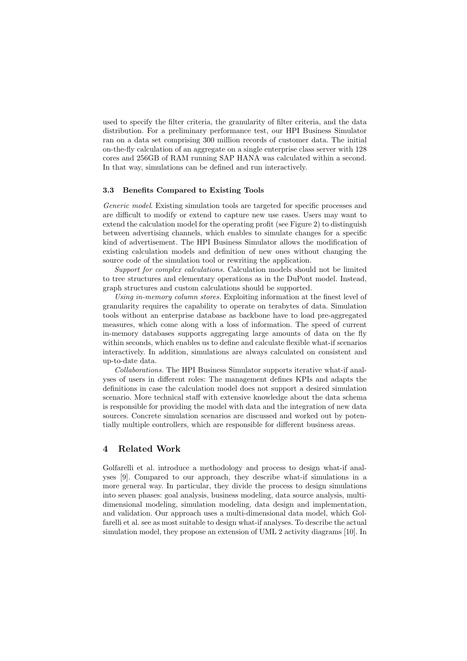used to specify the filter criteria, the granularity of filter criteria, and the data distribution. For a preliminary performance test, our HPI Business Simulator ran on a data set comprising 300 million records of customer data. The initial on-the-fly calculation of an aggregate on a single enterprise class server with 128 cores and 256GB of RAM running SAP HANA was calculated within a second. In that way, simulations can be defined and run interactively.

#### 3.3 Benefits Compared to Existing Tools

*Generic model*. Existing simulation tools are targeted for specific processes and are difficult to modify or extend to capture new use cases. Users may want to extend the calculation model for the operating profit (see Figure 2) to distinguish between advertising channels, which enables to simulate changes for a specific kind of advertisement. The HPI Business Simulator allows the modification of existing calculation models and definition of new ones without changing the source code of the simulation tool or rewriting the application.

*Support for complex calculations.* Calculation models should not be limited to tree structures and elementary operations as in the DuPont model. Instead, graph structures and custom calculations should be supported.

*Using in-memory column stores.* Exploiting information at the finest level of granularity requires the capability to operate on terabytes of data. Simulation tools without an enterprise database as backbone have to load pre-aggregated measures, which come along with a loss of information. The speed of current in-memory databases supports aggregating large amounts of data on the fly within seconds, which enables us to define and calculate flexible what-if scenarios interactively. In addition, simulations are always calculated on consistent and up-to-date data.

*Collaborations.* The HPI Business Simulator supports iterative what-if analyses of users in different roles: The management defines KPIs and adapts the definitions in case the calculation model does not support a desired simulation scenario. More technical staff with extensive knowledge about the data schema is responsible for providing the model with data and the integration of new data sources. Concrete simulation scenarios are discussed and worked out by potentially multiple controllers, which are responsible for different business areas.

## 4 Related Work

Golfarelli et al. introduce a methodology and process to design what-if analyses [9]. Compared to our approach, they describe what-if simulations in a more general way. In particular, they divide the process to design simulations into seven phases: goal analysis, business modeling, data source analysis, multidimensional modeling, simulation modeling, data design and implementation, and validation. Our approach uses a multi-dimensional data model, which Golfarelli et al. see as most suitable to design what-if analyses. To describe the actual simulation model, they propose an extension of UML 2 activity diagrams [10]. In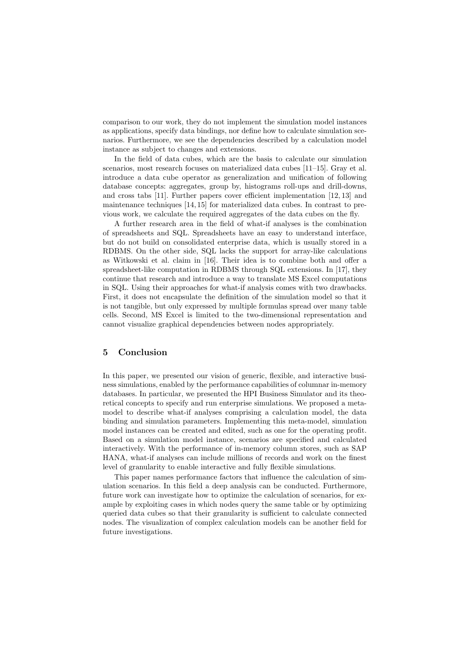comparison to our work, they do not implement the simulation model instances as applications, specify data bindings, nor define how to calculate simulation scenarios. Furthermore, we see the dependencies described by a calculation model instance as subject to changes and extensions.

In the field of data cubes, which are the basis to calculate our simulation scenarios, most research focuses on materialized data cubes [11–15]. Gray et al. introduce a data cube operator as generalization and unification of following database concepts: aggregates, group by, histograms roll-ups and drill-downs, and cross tabs  $[11]$ . Further papers cover efficient implementation  $[12, 13]$  and maintenance techniques [14, 15] for materialized data cubes. In contrast to previous work, we calculate the required aggregates of the data cubes on the fly.

A further research area in the field of what-if analyses is the combination of spreadsheets and SQL. Spreadsheets have an easy to understand interface, but do not build on consolidated enterprise data, which is usually stored in a RDBMS. On the other side, SQL lacks the support for array-like calculations as Witkowski et al. claim in [16]. Their idea is to combine both and offer a spreadsheet-like computation in RDBMS through SQL extensions. In [17], they continue that research and introduce a way to translate MS Excel computations in SQL. Using their approaches for what-if analysis comes with two drawbacks. First, it does not encapsulate the definition of the simulation model so that it is not tangible, but only expressed by multiple formulas spread over many table cells. Second, MS Excel is limited to the two-dimensional representation and cannot visualize graphical dependencies between nodes appropriately.

## 5 Conclusion

In this paper, we presented our vision of generic, flexible, and interactive business simulations, enabled by the performance capabilities of columnar in-memory databases. In particular, we presented the HPI Business Simulator and its theoretical concepts to specify and run enterprise simulations. We proposed a metamodel to describe what-if analyses comprising a calculation model, the data binding and simulation parameters. Implementing this meta-model, simulation model instances can be created and edited, such as one for the operating profit. Based on a simulation model instance, scenarios are specified and calculated interactively. With the performance of in-memory column stores, such as SAP HANA, what-if analyses can include millions of records and work on the finest level of granularity to enable interactive and fully flexible simulations.

This paper names performance factors that influence the calculation of simulation scenarios. In this field a deep analysis can be conducted. Furthermore, future work can investigate how to optimize the calculation of scenarios, for example by exploiting cases in which nodes query the same table or by optimizing queried data cubes so that their granularity is sufficient to calculate connected nodes. The visualization of complex calculation models can be another field for future investigations.